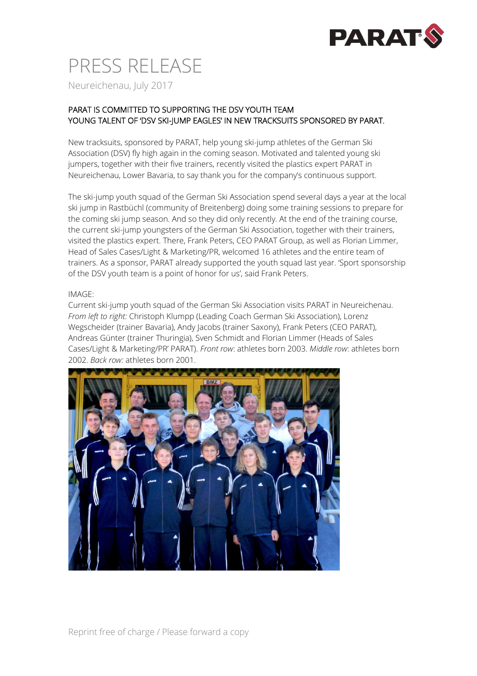

## PRESS RELEASE Neureichenau, July 2017

### PARAT IS COMMITTED TO SUPPORTING THE DSV YOUTH TEAM YOUNG TALENT OF 'DSV SKI-JUMP EAGLES' IN NEW TRACKSUITS SPONSORED BY PARAT.

New tracksuits, sponsored by PARAT, help young ski-jump athletes of the German Ski Association (DSV) fly high again in the coming season. Motivated and talented young ski jumpers, together with their five trainers, recently visited the plastics expert PARAT in Neureichenau, Lower Bavaria, to say thank you for the company's continuous support.

The ski-jump youth squad of the German Ski Association spend several days a year at the local ski jump in Rastbüchl (community of Breitenberg) doing some training sessions to prepare for the coming ski jump season. And so they did only recently. At the end of the training course, the current ski-jump youngsters of the German Ski Association, together with their trainers, visited the plastics expert. There, Frank Peters, CEO PARAT Group, as well as Florian Limmer, Head of Sales Cases/Light & Marketing/PR, welcomed 16 athletes and the entire team of trainers. As a sponsor, PARAT already supported the youth squad last year. 'Sport sponsorship of the DSV youth team is a point of honor for us', said Frank Peters.

#### IMAGE:

Current ski-jump youth squad of the German Ski Association visits PARAT in Neureichenau. *From left to right:* Christoph Klumpp (Leading Coach German Ski Association), Lorenz Wegscheider (trainer Bavaria), Andy Jacobs (trainer Saxony), Frank Peters (CEO PARAT), Andreas Günter (trainer Thuringia), Sven Schmidt and Florian Limmer (Heads of Sales Cases/Light & Marketing/PR' PARAT). *Front row*: athletes born 2003. *Middle row*: athletes born 2002. *Back row:* athletes born 2001.